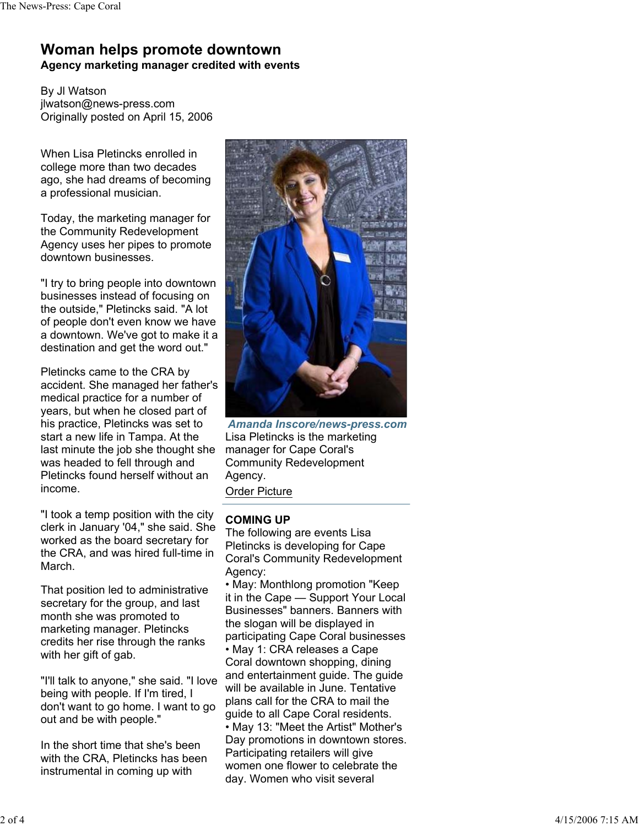## **Woman helps promote downtown Agency marketing manager credited with events**

By Jl Watson jlwatson@news-press.com Originally posted on April 15, 2006

When Lisa Pletincks enrolled in college more than two decades ago, she had dreams of becoming a professional musician.

Today, the marketing manager for the Community Redevelopment Agency uses her pipes to promote downtown businesses.

"I try to bring people into downtown businesses instead of focusing on the outside," Pletincks said. "A lot of people don't even know we have a downtown. We've got to make it a destination and get the word out."

Pletincks came to the CRA by accident. She managed her father's medical practice for a number of years, but when he closed part of his practice, Pletincks was set to start a new life in Tampa. At the last minute the job she thought she was headed to fell through and Pletincks found herself without an income.

"I took a temp position with the city clerk in January '04," she said. She worked as the board secretary for the CRA, and was hired full-time in March.

That position led to administrative secretary for the group, and last month she was promoted to marketing manager. Pletincks credits her rise through the ranks with her gift of gab.

"I'll talk to anyone," she said. "I love being with people. If I'm tired, I don't want to go home. I want to go out and be with people."

In the short time that she's been with the CRA, Pletincks has been instrumental in coming up with



*Amanda Inscore/news-press.com* Lisa Pletincks is the marketing manager for Cape Coral's Community Redevelopment Agency. Order Picture

## **COMING UP**

The following are events Lisa Pletincks is developing for Cape Coral's Community Redevelopment Agency:

• May: Monthlong promotion "Keep it in the Cape — Support Your Local Businesses" banners. Banners with the slogan will be displayed in participating Cape Coral businesses • May 1: CRA releases a Cape Coral downtown shopping, dining and entertainment guide. The guide will be available in June. Tentative plans call for the CRA to mail the guide to all Cape Coral residents. • May 13: "Meet the Artist" Mother's Day promotions in downtown stores. Participating retailers will give women one flower to celebrate the day. Women who visit several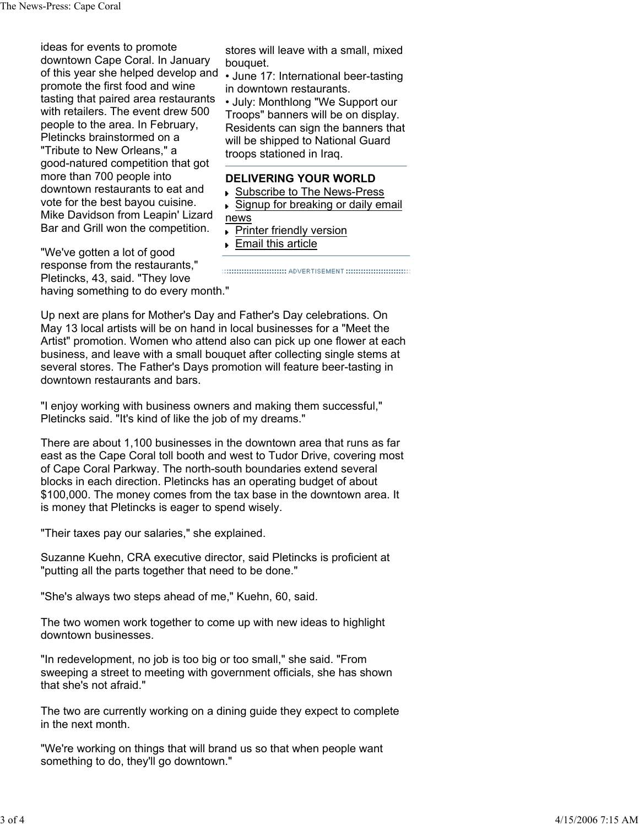ideas for events to promote downtown Cape Coral. In January of this year she helped develop and promote the first food and wine tasting that paired area restaurants with retailers. The event drew 500 people to the area. In February, Pletincks brainstormed on a "Tribute to New Orleans," a good-natured competition that got more than 700 people into downtown restaurants to eat and vote for the best bayou cuisine. Mike Davidson from Leapin' Lizard Bar and Grill won the competition.

stores will leave with a small, mixed bouquet.

• June 17: International beer-tasting in downtown restaurants.

• July: Monthlong "We Support our Troops" banners will be on display. Residents can sign the banners that will be shipped to National Guard troops stationed in Iraq.

## **DELIVERING YOUR WORLD**

- ▶ Subscribe to The News-Press
- Signup for breaking or daily email news
	- **Printer friendly version**
	- **Email this article**

"We've gotten a lot of good response from the restaurants," Pletincks, 43, said. "They love having something to do every month."

Up next are plans for Mother's Day and Father's Day celebrations. On May 13 local artists will be on hand in local businesses for a "Meet the Artist" promotion. Women who attend also can pick up one flower at each business, and leave with a small bouquet after collecting single stems at several stores. The Father's Days promotion will feature beer-tasting in downtown restaurants and bars.

"I enjoy working with business owners and making them successful," Pletincks said. "It's kind of like the job of my dreams."

There are about 1,100 businesses in the downtown area that runs as far east as the Cape Coral toll booth and west to Tudor Drive, covering most of Cape Coral Parkway. The north-south boundaries extend several blocks in each direction. Pletincks has an operating budget of about \$100,000. The money comes from the tax base in the downtown area. It is money that Pletincks is eager to spend wisely.

"Their taxes pay our salaries," she explained.

Suzanne Kuehn, CRA executive director, said Pletincks is proficient at "putting all the parts together that need to be done."

"She's always two steps ahead of me," Kuehn, 60, said.

The two women work together to come up with new ideas to highlight downtown businesses.

"In redevelopment, no job is too big or too small," she said. "From sweeping a street to meeting with government officials, she has shown that she's not afraid."

The two are currently working on a dining guide they expect to complete in the next month.

"We're working on things that will brand us so that when people want something to do, they'll go downtown."